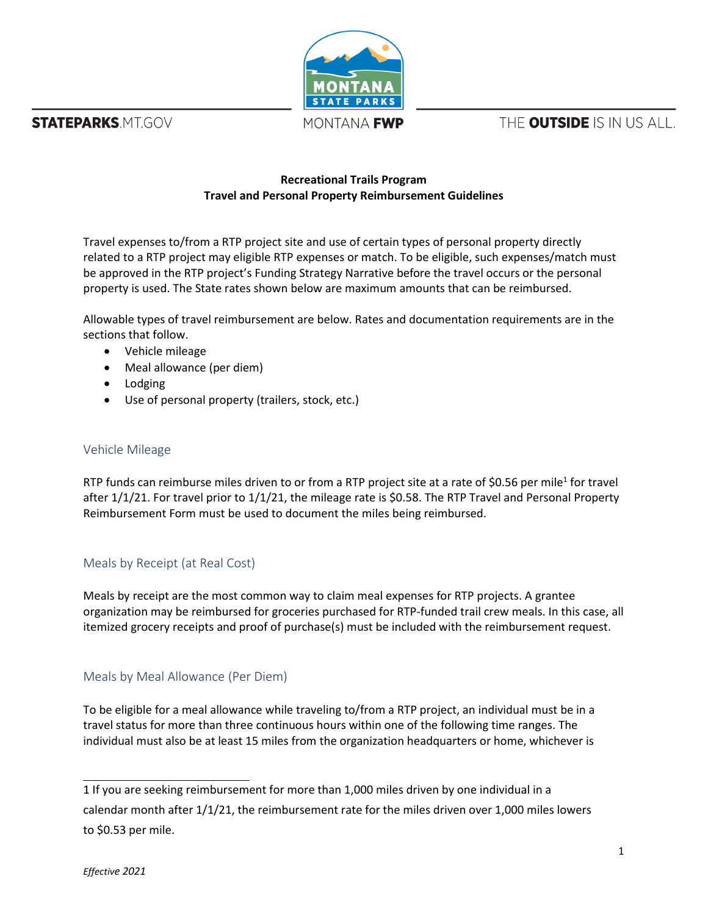**STATEPARKS MTGOV** 



MONTANA **FWP** 

THE **OUTSIDE** IS IN US ALL.

### **Recreational Trails Program Travel and Personal Property Reimbursement Guidelines**

Travel expenses to/from a RTP project site and use of certain types of personal property directly related to a RTP project may eligible RTP expenses or match. To be eligible, such expenses/match must be approved in the RTP project's Funding Strategy Narrative before the travel occurs or the personal property is used. The State rates shown below are maximum amounts that can be reimbursed.

Allowable types of travel reimbursement are below. Rates and documentation requirements are in the sections that follow.

- Vehicle mileage
- Meal allowance (per diem)
- Lodging
- Use of personal property (trailers, stock, etc.)

#### Vehicle Mileage

RTP funds can reimburse miles driven to or from a RTP project site at a rate of \$0.56 per mile<sup>[1](#page-0-0)</sup> for travel after 1/1/21. For travel prior to 1/1/21, the mileage rate is \$0.58. The RTP Travel and Personal Property Reimbursement Form must be used to document the miles being reimbursed.

#### Meals by Receipt (at Real Cost)

Meals by receipt are the most common way to claim meal expenses for RTP projects. A grantee organization may be reimbursed for groceries purchased for RTP-funded trail crew meals. In this case, all itemized grocery receipts and proof of purchase(s) must be included with the reimbursement request.

## Meals by Meal Allowance (Per Diem)

To be eligible for a meal allowance while traveling to/from a RTP project, an individual must be in a travel status for more than three continuous hours within one of the following time ranges. The individual must also be at least 15 miles from the organization headquarters or home, whichever is

<span id="page-0-0"></span>1 If you are seeking reimbursement for more than 1,000 miles driven by one individual in a

calendar month after 1/1/21, the reimbursement rate for the miles driven over 1,000 miles lowers to \$0.53 per mile.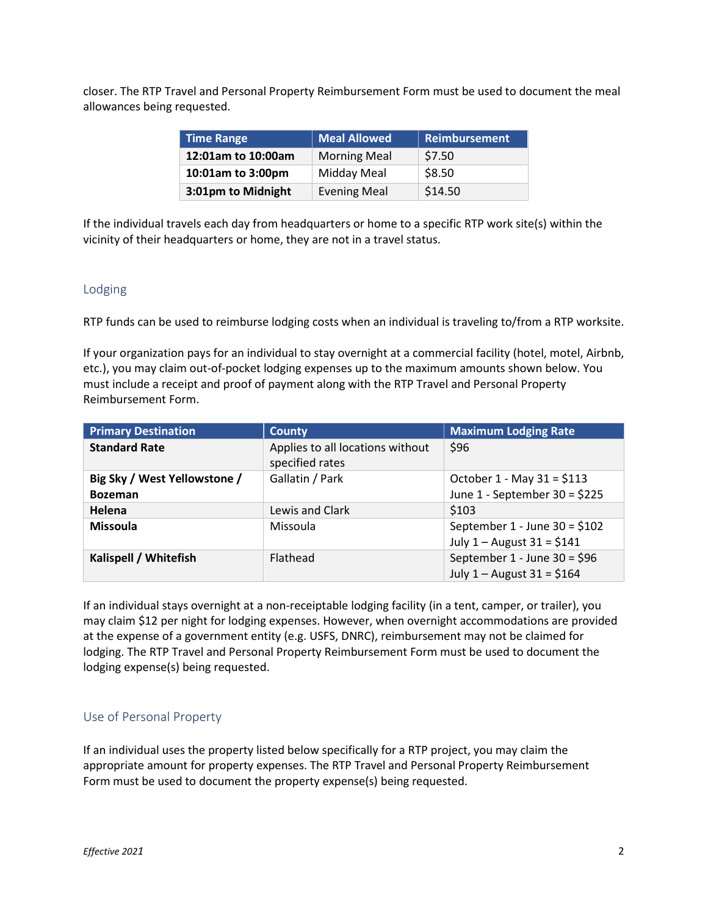closer. The RTP Travel and Personal Property Reimbursement Form must be used to document the meal allowances being requested.

| <b>Time Range</b>  | <b>Meal Allowed</b> | <b>Reimbursement</b> |
|--------------------|---------------------|----------------------|
| 12:01am to 10:00am | <b>Morning Meal</b> | \$7.50               |
| 10:01am to 3:00pm  | Midday Meal         | \$8.50               |
| 3:01pm to Midnight | <b>Evening Meal</b> | \$14.50              |

If the individual travels each day from headquarters or home to a specific RTP work site(s) within the vicinity of their headquarters or home, they are not in a travel status.

### Lodging

RTP funds can be used to reimburse lodging costs when an individual is traveling to/from a RTP worksite.

If your organization pays for an individual to stay overnight at a commercial facility (hotel, motel, Airbnb, etc.), you may claim out-of-pocket lodging expenses up to the maximum amounts shown below. You must include a receipt and proof of payment along with the RTP Travel and Personal Property Reimbursement Form.

| <b>Primary Destination</b>                     | <b>County</b>                                       | <b>Maximum Lodging Rate</b>                                       |
|------------------------------------------------|-----------------------------------------------------|-------------------------------------------------------------------|
| <b>Standard Rate</b>                           | Applies to all locations without<br>specified rates | \$96                                                              |
| Big Sky / West Yellowstone /<br><b>Bozeman</b> | Gallatin / Park                                     | October 1 - May 31 = $$113$<br>June 1 - September 30 = \$225      |
| Helena                                         | Lewis and Clark                                     | \$103                                                             |
| <b>Missoula</b>                                | Missoula                                            | September $1 -$ June $30 = $102$<br>July $1 -$ August $31 = $141$ |
| Kalispell / Whitefish                          | Flathead                                            | September 1 - June 30 = $$96$<br>July $1 -$ August $31 = $164$    |

If an individual stays overnight at a non-receiptable lodging facility (in a tent, camper, or trailer), you may claim \$12 per night for lodging expenses. However, when overnight accommodations are provided at the expense of a government entity (e.g. USFS, DNRC), reimbursement may not be claimed for lodging. The RTP Travel and Personal Property Reimbursement Form must be used to document the lodging expense(s) being requested.

## Use of Personal Property

If an individual uses the property listed below specifically for a RTP project, you may claim the appropriate amount for property expenses. The RTP Travel and Personal Property Reimbursement Form must be used to document the property expense(s) being requested.